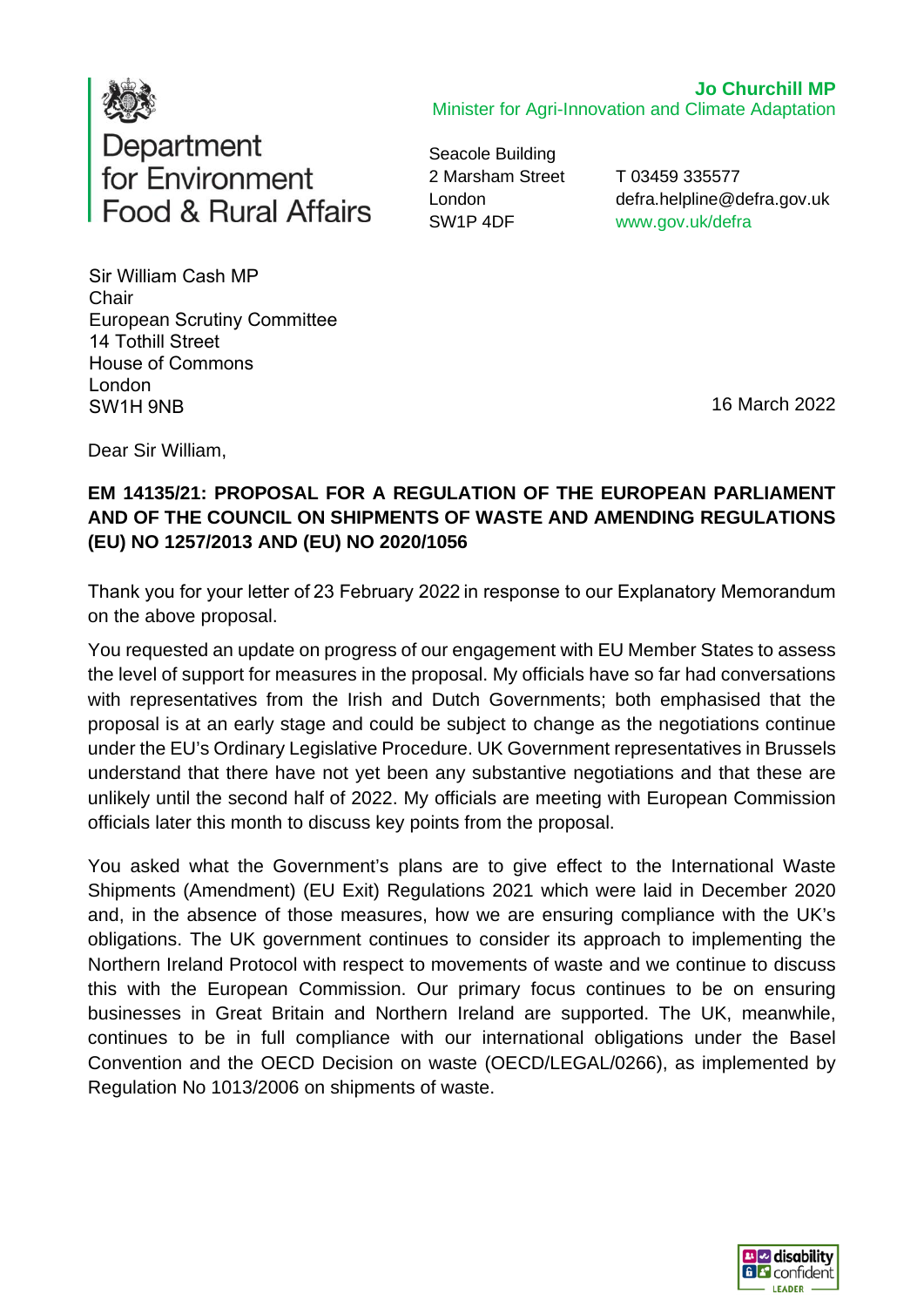

**Jo Churchill MP**  Minister for Agri-Innovation and Climate Adaptation

Seacole Building 2 Marsham Street London SW1P 4DF

T 03459 335577 defra.helpline@defra.gov.uk www.gov.uk/defra

Sir William Cash MP   **Chair** European Scrutiny Committee  14 Tothill Street  House of Commons  London  SW1H 9NB 

16 March 2022

Dear Sir William,

## **EM 14135/21: PROPOSAL FOR A REGULATION OF THE EUROPEAN PARLIAMENT AND OF THE COUNCIL ON SHIPMENTS OF WASTE AND AMENDING REGULATIONS (EU) NO 1257/2013 AND (EU) NO 2020/1056**

Thank you for your letter of 23 February 2022 in response to our Explanatory Memorandum on the above proposal.

You requested an update on progress of our engagement with EU Member States to assess the level of support for measures in the proposal. My officials have so far had conversations with representatives from the Irish and Dutch Governments; both emphasised that the proposal is at an early stage and could be subject to change as the negotiations continue under the EU's Ordinary Legislative Procedure. UK Government representatives in Brussels understand that there have not yet been any substantive negotiations and that these are unlikely until the second half of 2022. My officials are meeting with European Commission officials later this month to discuss key points from the proposal.

You asked what the Government's plans are to give effect to the International Waste Shipments (Amendment) (EU Exit) Regulations 2021 which were laid in December 2020 and, in the absence of those measures, how we are ensuring compliance with the UK's obligations. The UK government continues to consider its approach to implementing the Northern Ireland Protocol with respect to movements of waste and we continue to discuss this with the European Commission. Our primary focus continues to be on ensuring businesses in Great Britain and Northern Ireland are supported. The UK, meanwhile, continues to be in full compliance with our international obligations under the Basel Convention and the OECD Decision on waste (OECD/LEGAL/0266), as implemented by Regulation No 1013/2006 on shipments of waste.